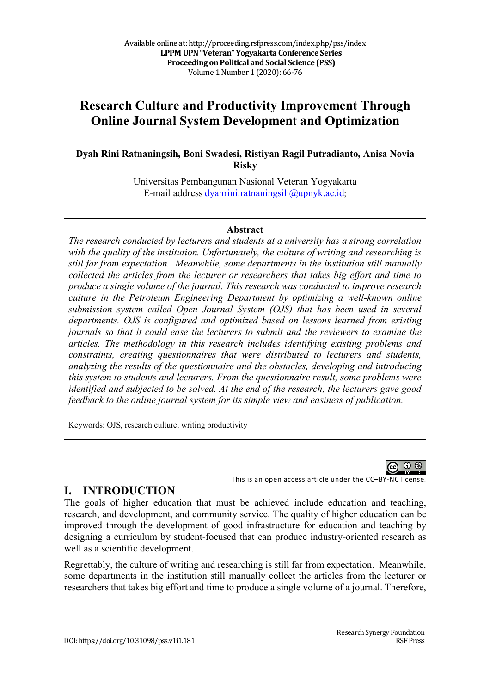# **Research Culture and Productivity Improvement Through Online Journal System Development and Optimization**

**Dyah Rini Ratnaningsih, Boni Swadesi, Ristiyan Ragil Putradianto, Anisa Novia Risky**

> Universitas Pembangunan Nasional Veteran Yogyakarta E-mail address dyahrini.ratnaningsih@upnyk.ac.id;

### **Abstract**

*The research conducted by lecturers and students at a university has a strong correlation with the quality of the institution. Unfortunately, the culture of writing and researching is still far from expectation. Meanwhile, some departments in the institution still manually collected the articles from the lecturer or researchers that takes big effort and time to produce a single volume of the journal. This research was conducted to improve research culture in the Petroleum Engineering Department by optimizing a well-known online submission system called Open Journal System (OJS) that has been used in several departments. OJS is configured and optimized based on lessons learned from existing journals so that it could ease the lecturers to submit and the reviewers to examine the articles. The methodology in this research includes identifying existing problems and constraints, creating questionnaires that were distributed to lecturers and students, analyzing the results of the questionnaire and the obstacles, developing and introducing this system to students and lecturers. From the questionnaire result, some problems were identified and subjected to be solved. At the end of the research, the lecturers gave good feedback to the online journal system for its simple view and easiness of publication.*

Keywords: OJS, research culture, writing productivity

This is an open access article under the CC–BY-NC license.

## **I. INTRODUCTION**

The goals of higher education that must be achieved include education and teaching, research, and development, and community service. The quality of higher education can be improved through the development of good infrastructure for education and teaching by designing a curriculum by student-focused that can produce industry-oriented research as well as a scientific development.

Regrettably, the culture of writing and researching is still far from expectation. Meanwhile, some departments in the institution still manually collect the articles from the lecturer or researchers that takes big effort and time to produce a single volume of a journal. Therefore,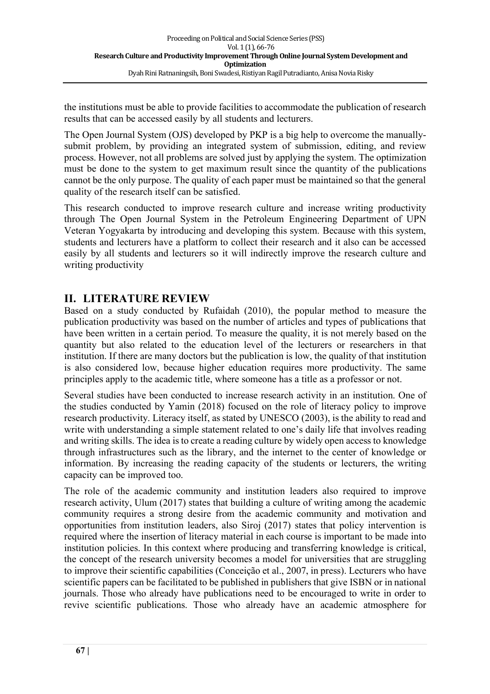the institutions must be able to provide facilities to accommodate the publication of research results that can be accessed easily by all students and lecturers.

The Open Journal System (OJS) developed by PKP is a big help to overcome the manuallysubmit problem, by providing an integrated system of submission, editing, and review process. However, not all problems are solved just by applying the system. The optimization must be done to the system to get maximum result since the quantity of the publications cannot be the only purpose. The quality of each paper must be maintained so that the general quality of the research itself can be satisfied.

This research conducted to improve research culture and increase writing productivity through The Open Journal System in the Petroleum Engineering Department of UPN Veteran Yogyakarta by introducing and developing this system. Because with this system, students and lecturers have a platform to collect their research and it also can be accessed easily by all students and lecturers so it will indirectly improve the research culture and writing productivity

## **II. LITERATURE REVIEW**

Based on a study conducted by Rufaidah (2010), the popular method to measure the publication productivity was based on the number of articles and types of publications that have been written in a certain period. To measure the quality, it is not merely based on the quantity but also related to the education level of the lecturers or researchers in that institution. If there are many doctors but the publication is low, the quality of that institution is also considered low, because higher education requires more productivity. The same principles apply to the academic title, where someone has a title as a professor or not.

Several studies have been conducted to increase research activity in an institution. One of the studies conducted by Yamin (2018) focused on the role of literacy policy to improve research productivity. Literacy itself, as stated by UNESCO (2003), is the ability to read and write with understanding a simple statement related to one's daily life that involves reading and writing skills. The idea is to create a reading culture by widely open access to knowledge through infrastructures such as the library, and the internet to the center of knowledge or information. By increasing the reading capacity of the students or lecturers, the writing capacity can be improved too.

The role of the academic community and institution leaders also required to improve research activity, Ulum (2017) states that building a culture of writing among the academic community requires a strong desire from the academic community and motivation and opportunities from institution leaders, also Siroj (2017) states that policy intervention is required where the insertion of literacy material in each course is important to be made into institution policies. In this context where producing and transferring knowledge is critical, the concept of the research university becomes a model for universities that are struggling to improve their scientific capabilities (Conceição et al., 2007, in press). Lecturers who have scientific papers can be facilitated to be published in publishers that give ISBN or in national journals. Those who already have publications need to be encouraged to write in order to revive scientific publications. Those who already have an academic atmosphere for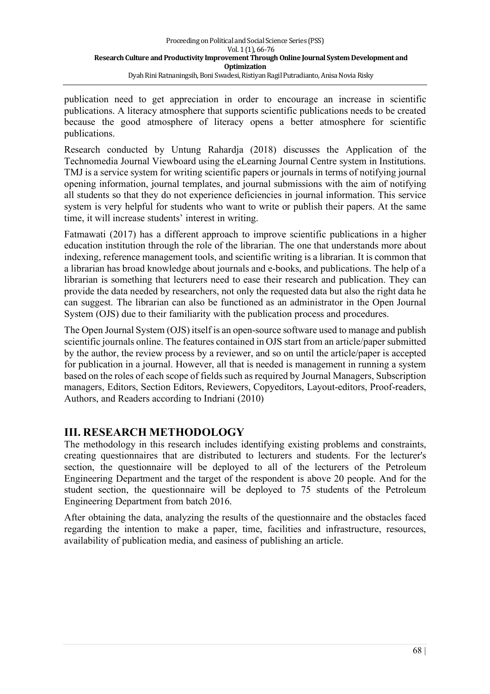publication need to get appreciation in order to encourage an increase in scientific publications. A literacy atmosphere that supports scientific publications needs to be created because the good atmosphere of literacy opens a better atmosphere for scientific publications.

Research conducted by Untung Rahardja (2018) discusses the Application of the Technomedia Journal Viewboard using the eLearning Journal Centre system in Institutions. TMJ is a service system for writing scientific papers or journals in terms of notifying journal opening information, journal templates, and journal submissions with the aim of notifying all students so that they do not experience deficiencies in journal information. This service system is very helpful for students who want to write or publish their papers. At the same time, it will increase students' interest in writing.

Fatmawati (2017) has a different approach to improve scientific publications in a higher education institution through the role of the librarian. The one that understands more about indexing, reference management tools, and scientific writing is a librarian. It is common that a librarian has broad knowledge about journals and e-books, and publications. The help of a librarian is something that lecturers need to ease their research and publication. They can provide the data needed by researchers, not only the requested data but also the right data he can suggest. The librarian can also be functioned as an administrator in the Open Journal System (OJS) due to their familiarity with the publication process and procedures.

The Open Journal System (OJS) itself is an open-source software used to manage and publish scientific journals online. The features contained in OJS start from an article/paper submitted by the author, the review process by a reviewer, and so on until the article/paper is accepted for publication in a journal. However, all that is needed is management in running a system based on the roles of each scope of fields such as required by Journal Managers, Subscription managers, Editors, Section Editors, Reviewers, Copyeditors, Layout-editors, Proof-readers, Authors, and Readers according to Indriani (2010)

## **III. RESEARCH METHODOLOGY**

The methodology in this research includes identifying existing problems and constraints, creating questionnaires that are distributed to lecturers and students. For the lecturer's section, the questionnaire will be deployed to all of the lecturers of the Petroleum Engineering Department and the target of the respondent is above 20 people. And for the student section, the questionnaire will be deployed to 75 students of the Petroleum Engineering Department from batch 2016.

After obtaining the data, analyzing the results of the questionnaire and the obstacles faced regarding the intention to make a paper, time, facilities and infrastructure, resources, availability of publication media, and easiness of publishing an article.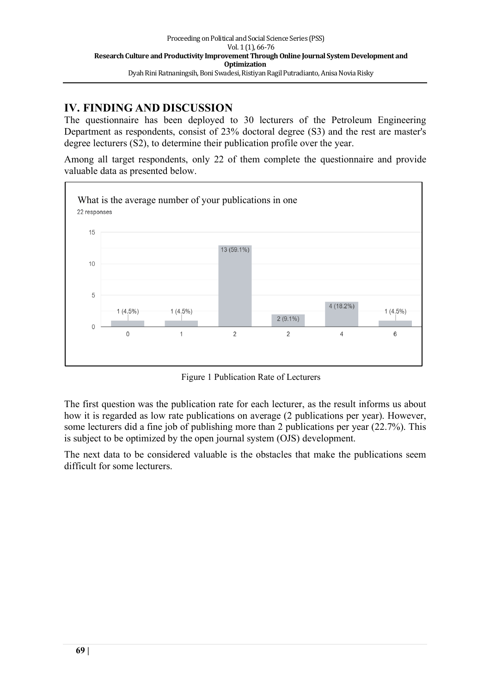## **IV. FINDING AND DISCUSSION**

The questionnaire has been deployed to 30 lecturers of the Petroleum Engineering Department as respondents, consist of 23% doctoral degree (S3) and the rest are master's degree lecturers (S2), to determine their publication profile over the year.

Among all target respondents, only 22 of them complete the questionnaire and provide valuable data as presented below.



Figure 1 Publication Rate of Lecturers

The first question was the publication rate for each lecturer, as the result informs us about how it is regarded as low rate publications on average (2 publications per year). However, some lecturers did a fine job of publishing more than 2 publications per year (22.7%). This is subject to be optimized by the open journal system (OJS) development.

The next data to be considered valuable is the obstacles that make the publications seem difficult for some lecturers.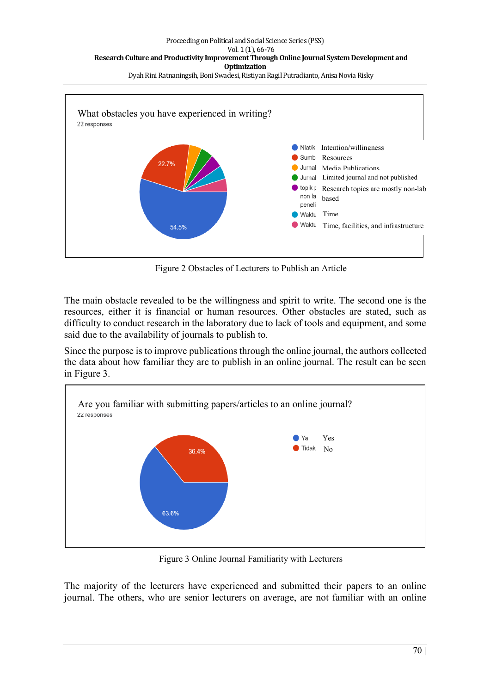

Figure 2 Obstacles of Lecturers to Publish an Article

The main obstacle revealed to be the willingness and spirit to write. The second one is the resources, either it is financial or human resources. Other obstacles are stated, such as difficulty to conduct research in the laboratory due to lack of tools and equipment, and some said due to the availability of journals to publish to.

Since the purpose is to improve publications through the online journal, the authors collected the data about how familiar they are to publish in an online journal. The result can be seen in Figure 3.



Figure 3 Online Journal Familiarity with Lecturers

The majority of the lecturers have experienced and submitted their papers to an online journal. The others, who are senior lecturers on average, are not familiar with an online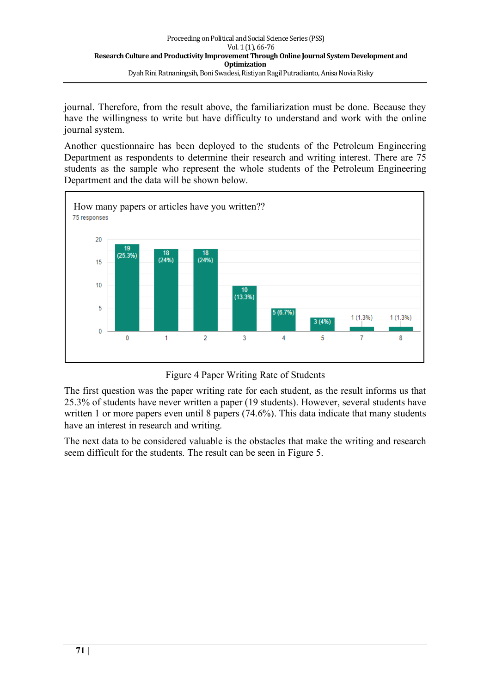journal. Therefore, from the result above, the familiarization must be done. Because they have the willingness to write but have difficulty to understand and work with the online journal system.

Another questionnaire has been deployed to the students of the Petroleum Engineering Department as respondents to determine their research and writing interest. There are 75 students as the sample who represent the whole students of the Petroleum Engineering Department and the data will be shown below.



Figure 4 Paper Writing Rate of Students

The first question was the paper writing rate for each student, as the result informs us that 25.3% of students have never written a paper (19 students). However, several students have written 1 or more papers even until 8 papers (74.6%). This data indicate that many students have an interest in research and writing.

The next data to be considered valuable is the obstacles that make the writing and research seem difficult for the students. The result can be seen in Figure 5.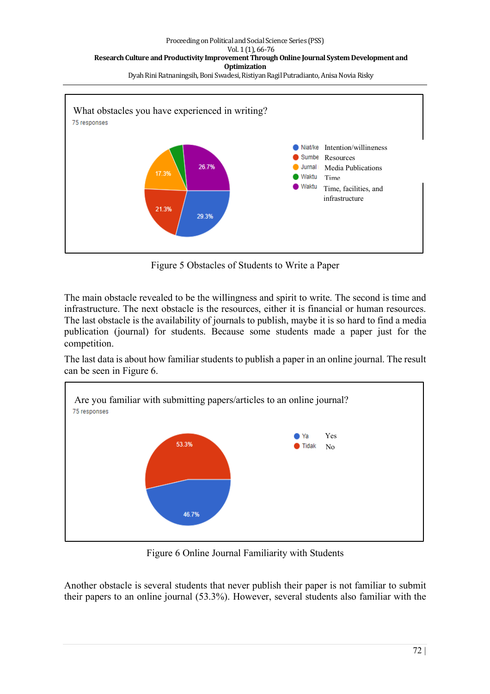

Figure 5 Obstacles of Students to Write a Paper

The main obstacle revealed to be the willingness and spirit to write. The second is time and infrastructure. The next obstacle is the resources, either it is financial or human resources. The last obstacle is the availability of journals to publish, maybe it is so hard to find a media publication (journal) for students. Because some students made a paper just for the competition.

The last data is about how familiar students to publish a paper in an online journal. The result can be seen in Figure 6.



Figure 6 Online Journal Familiarity with Students

Another obstacle is several students that never publish their paper is not familiar to submit their papers to an online journal (53.3%). However, several students also familiar with the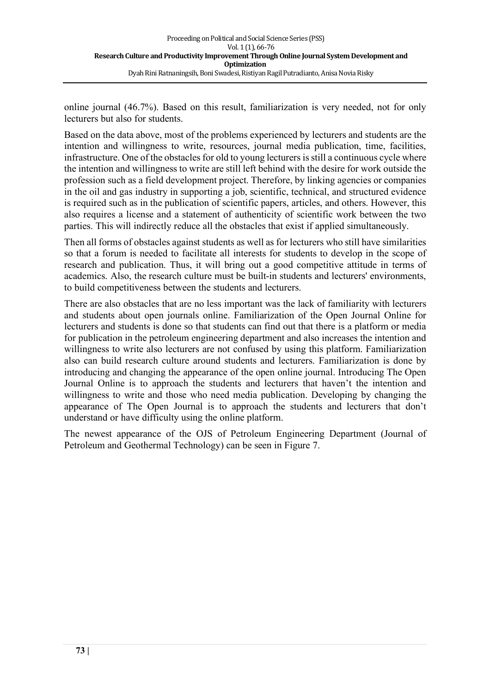online journal (46.7%). Based on this result, familiarization is very needed, not for only lecturers but also for students.

Based on the data above, most of the problems experienced by lecturers and students are the intention and willingness to write, resources, journal media publication, time, facilities, infrastructure. One of the obstacles for old to young lecturers is still a continuous cycle where the intention and willingness to write are still left behind with the desire for work outside the profession such as a field development project. Therefore, by linking agencies or companies in the oil and gas industry in supporting a job, scientific, technical, and structured evidence is required such as in the publication of scientific papers, articles, and others. However, this also requires a license and a statement of authenticity of scientific work between the two parties. This will indirectly reduce all the obstacles that exist if applied simultaneously.

Then all forms of obstacles against students as well as for lecturers who still have similarities so that a forum is needed to facilitate all interests for students to develop in the scope of research and publication. Thus, it will bring out a good competitive attitude in terms of academics. Also, the research culture must be built-in students and lecturers' environments, to build competitiveness between the students and lecturers.

There are also obstacles that are no less important was the lack of familiarity with lecturers and students about open journals online. Familiarization of the Open Journal Online for lecturers and students is done so that students can find out that there is a platform or media for publication in the petroleum engineering department and also increases the intention and willingness to write also lecturers are not confused by using this platform. Familiarization also can build research culture around students and lecturers. Familiarization is done by introducing and changing the appearance of the open online journal. Introducing The Open Journal Online is to approach the students and lecturers that haven't the intention and willingness to write and those who need media publication. Developing by changing the appearance of The Open Journal is to approach the students and lecturers that don't understand or have difficulty using the online platform.

The newest appearance of the OJS of Petroleum Engineering Department (Journal of Petroleum and Geothermal Technology) can be seen in Figure 7.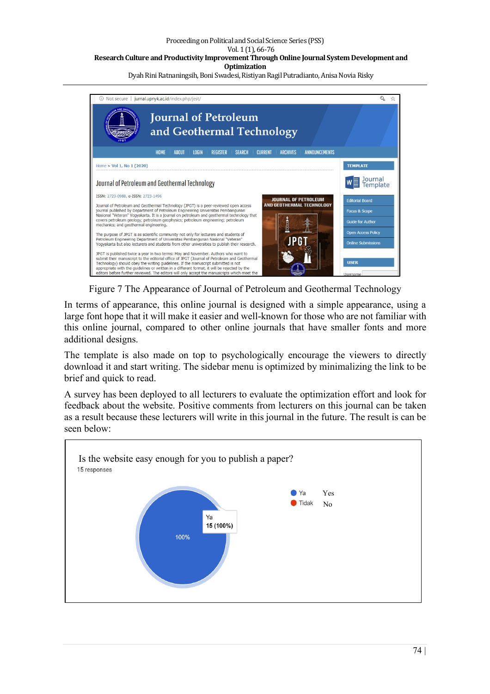#### Proceeding on Political and Social Science Series (PSS) Vol. 1 (1), 66-76 Research Culture and Productivity Improvement Through Online Journal System Development and **Optimization**

Dyah Rini Ratnaningsih, Boni Swadesi, Ristiyan Ragil Putradianto, Anisa Novia Risky



Figure 7 The Appearance of Journal of Petroleum and Geothermal Technology

In terms of appearance, this online journal is designed with a simple appearance, using a large font hope that it will make it easier and well-known for those who are not familiar with this online journal, compared to other online journals that have smaller fonts and more additional designs.

The template is also made on top to psychologically encourage the viewers to directly download it and start writing. The sidebar menu is optimized by minimalizing the link to be brief and quick to read.

A survey has been deployed to all lecturers to evaluate the optimization effort and look for feedback about the website. Positive comments from lecturers on this journal can be taken as a result because these lecturers will write in this journal in the future. The result is can be seen below:

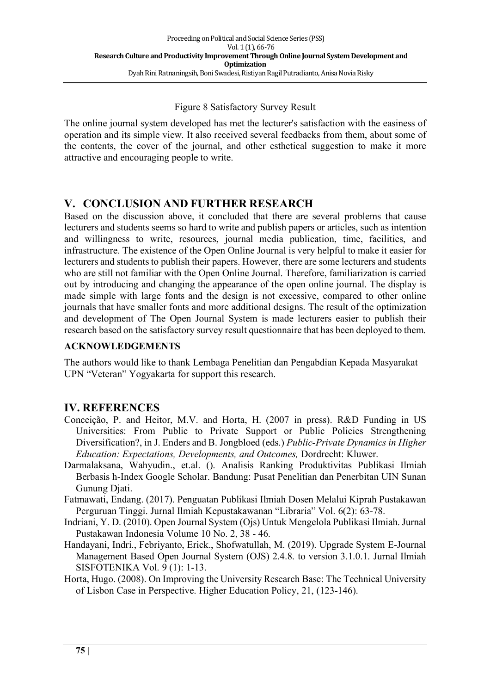### Figure 8 Satisfactory Survey Result

The online journal system developed has met the lecturer's satisfaction with the easiness of operation and its simple view. It also received several feedbacks from them, about some of the contents, the cover of the journal, and other esthetical suggestion to make it more attractive and encouraging people to write.

## **V. CONCLUSION AND FURTHER RESEARCH**

Based on the discussion above, it concluded that there are several problems that cause lecturers and students seems so hard to write and publish papers or articles, such as intention and willingness to write, resources, journal media publication, time, facilities, and infrastructure. The existence of the Open Online Journal is very helpful to make it easier for lecturers and students to publish their papers. However, there are some lecturers and students who are still not familiar with the Open Online Journal. Therefore, familiarization is carried out by introducing and changing the appearance of the open online journal. The display is made simple with large fonts and the design is not excessive, compared to other online journals that have smaller fonts and more additional designs. The result of the optimization and development of The Open Journal System is made lecturers easier to publish their research based on the satisfactory survey result questionnaire that has been deployed to them.

### **ACKNOWLEDGEMENTS**

The authors would like to thank Lembaga Penelitian dan Pengabdian Kepada Masyarakat UPN "Veteran" Yogyakarta for support this research.

### **IV. REFERENCES**

- Conceição, P. and Heitor, M.V. and Horta, H. (2007 in press). R&D Funding in US Universities: From Public to Private Support or Public Policies Strengthening Diversification?, in J. Enders and B. Jongbloed (eds.) *Public-Private Dynamics in Higher Education: Expectations, Developments, and Outcomes,* Dordrecht: Kluwer.
- Darmalaksana, Wahyudin., et.al. (). Analisis Ranking Produktivitas Publikasi Ilmiah Berbasis h-Index Google Scholar. Bandung: Pusat Penelitian dan Penerbitan UIN Sunan Gunung Djati.
- Fatmawati, Endang. (2017). Penguatan Publikasi Ilmiah Dosen Melalui Kiprah Pustakawan Perguruan Tinggi. Jurnal Ilmiah Kepustakawanan "Libraria" Vol. 6(2): 63-78.
- Indriani, Y. D. (2010). Open Journal System (Ojs) Untuk Mengelola Publikasi Ilmiah. Jurnal Pustakawan Indonesia Volume 10 No. 2, 38 - 46.
- Handayani, Indri., Febriyanto, Erick., Shofwatullah, M. (2019). Upgrade System E-Journal Management Based Open Journal System (OJS) 2.4.8. to version 3.1.0.1. Jurnal Ilmiah SISFOTENIKA Vol. 9 (1): 1-13.
- Horta, Hugo. (2008). On Improving the University Research Base: The Technical University of Lisbon Case in Perspective. Higher Education Policy, 21, (123-146).